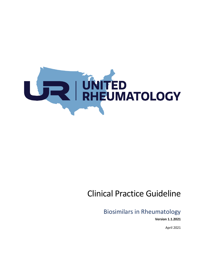

# Clinical Practice Guideline

Biosimilars in Rheumatology

**Version 1.1.2021**

April 2021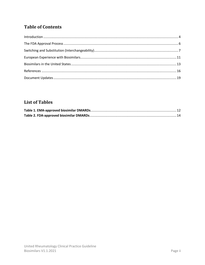# **Table of Contents**

## **List of Tables**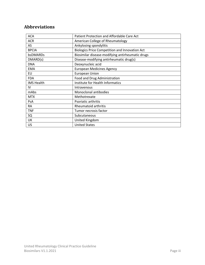## **Abbreviations**

| Patient Protection and Affordable Care Act       |
|--------------------------------------------------|
| American College of Rheumatology                 |
| Ankylosing spondylitis                           |
| Biologics Price Competition and Innovation Act   |
| Biosimilar disease-modifying antirheumatic drugs |
| Disease-modifying antirheumatic drug(s)          |
| Deoxynucleic acid                                |
| <b>European Medicines Agency</b>                 |
| <b>European Union</b>                            |
| Food and Drug Administration                     |
| Institute for Health Informatics                 |
| Intravenous                                      |
| Monoclonal antibodies                            |
| Methotrexate                                     |
| Psoriatic arthritis                              |
| Rheumatoid arthritis                             |
| Tumor necrosis factor                            |
| Subcutaneous                                     |
| United Kingdom                                   |
| <b>United States</b>                             |
|                                                  |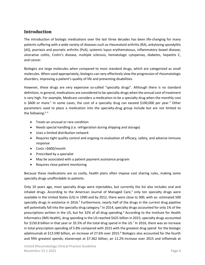#### <span id="page-3-0"></span>**Introduction**

The introduction of biologic medications over the last three decades has been life-changing for many patients suffering with a wide variety of diseases such as rheumatoid arthritis (RA), ankylosing spondylitis (AS), psoriasis and psoriatic arthritis (PsA), systemic lupus erythematosus, inflammatory bowel disease, ulcerative colitis, Crohn's disease, multiple sclerosis, hematologic cytopenias, diabetes, hepatitis C, and cancer.

Biologics are large molecules when compared to most standard drugs, which are categorized as small molecules. When used appropriately, biologics can very effectively slow the progression of rheumatologic disorders, improving a patient's quality of life and preventing disabilities.

However, these drugs are very expensive so-called "specialty drugs". Although there is no standard definition, in general, medications are considered to be specialty drugs when the annual cost of treatment is very high. For example, Medicare considers a medication to be a specialty drug when the monthly cost is \$600 or more.<sup>1</sup> In some cases, the cost of a specialty drug can exceed \$100,000 per year.<sup>2</sup> Other parameters used to place a medication into the specialty-drug group include but are not limited to the following: $3, 4$ 

- Treats an unusual or rare condition
- Needs special handling (i.e. refrigeration during shipping and storage)
- Uses a limited distribution network
- Requires tight quality control and ongoing re-evaluation of efficacy, safety, and adverse immune response
- Costs >\$600/month
- Prescribed by a specialist
- May be associated with a patient payment assistance program
- Requires close patient monitoring

Because these medications are so costly, health plans often impose cost sharing rules, making some specialty drugs unaffordable to patients.

Only 10 years ago, most specialty drugs were injectables, but currently the list also includes oral and inhaled drugs. According to the American Journal of Managed Care, $3$  only ten specialty drugs were available in the United States (US) in 1990 and by 2012, there were close to 300, with an estimated 500 specialty drugs in existence in 2016.<sup>5</sup> Furthermore, nearly half of the drugs in the current drug pipeline will potentially fall into the specialty drug category.<sup>3</sup> In 2014, specialty drugs accounted for only 1% of the prescriptions written in the US, but for 32% of all drug spending. <sup>6</sup> According to the Institute for Health Informatics (IMS Health), drug spending in the US reached \$425 billion in 2015; specialty drugs accounted for \$150.8 billion in that year or 35.5% of the total drug spend in the US.<sup>7</sup> In 2016, there was an increase in total prescription spending of 5.8% compared with 2015 with the greatest drug spend for the biologic adalimumab at \$13.590 billion, an increase of 27.6% over 2015. <sup>8</sup> Biologics also accounted for the fourth and fifth greatest spends; etanercept at \$7.362 billion, an 11.2% increase over 2015 and infliximab at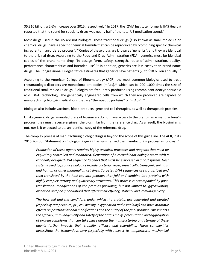\$5.310 billion, a 6.6% increase over 2015, respectively.<sup>8</sup> In 2017, the IQVIA Institute (formerly IMS Health) reported that the spend for specialty drugs was nearly half of the total US medication spend.<sup>9</sup>

Most drugs used in the US are not biologics. These traditional drugs (also known as small molecule or chemical drugs) have a specific chemical formula that can be reproduced by "combining specific chemical ingredients in an ordered process". <sup>10</sup> Copies of these drugs are known as "generics", and they are identical to the original drug. According to the Food and Drug Administration (FDA), generics must be identical copies of the brand-name drug "in dosage form, safety, strength, route of administration, quality, performance characteristics and intended use".<sup>11</sup> In addition, generics are less costly than brand-name drugs. The Congressional Budget Office estimates that generics save patients \$8 to \$10 billion annually.<sup>12</sup>

According to the American College of Rheumatology (ACR), the most common biologics used to treat rheumatologic disorders are monoclonal antibodies (mAbs), <sup>13</sup> which can be 200–1000 times the size of traditional small-molecule drugs. Biologics are frequently produced using recombinant deoxyribonucleic acid (DNA) technology. The genetically engineered cells from which they are produced are capable of manufacturing biologic medications that are "therapeutic proteins" or "mAbs".<sup>14</sup>

Biologics also include vaccines, blood products, gene and cell therapies, as well as therapeutic proteins.

Unlike generic drugs, manufacturers of biosimilars do not have access to the brand-name manufacturer's process; they must reverse engineer the biosimilar from the reference drug. As a result, the biosimilar is not, nor is it expected to be, an identical copy of the reference drug.

The complex process of manufacturing biologic drugs is beyond the scope of this guideline. The ACR, in its 2015 Position Statement on Biologics (Page 2), has summarized the manufacturing process as follows:<sup>13</sup>

*Production of these agents requires highly technical processes and reagents that must be exquisitely controlled and monitored. Generation of a recombinant biologic starts with a rationally designed DNA sequence (a gene) that must be expressed in a host system. Host systems used to produce biologics include bacteria, yeast, insect cells, transgenic animals, and human or other mammalian cell lines. Targeted DNA sequences are transcribed and then translated by the host cell into peptides that fold and combine into proteins with highly complex tertiary and quaternary structures. This process is accompanied by posttranslational modifications of the proteins (including, but not limited to, glycosylation, oxidation and phosphorylation) that affect their efficacy, stability and immunogenicity.*

*The host cell and the conditions under which the proteins are generated and purified (especially temperature, pH, cell density, oxygenation and osmolality) can have dramatic effects on posttranslational modifications and the purity of the final product. This impacts the efficacy, immunogenicity and safety of the drug. Finally, precipitation and aggregation of protein complexes that can take place during the manufacturing and storage of these agents further impacts their stability, efficacy and tolerability. These complexities necessitate the tremendous care (especially with respect to temperature, mechanical*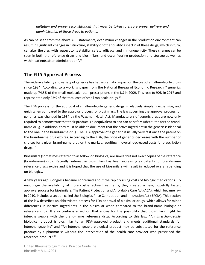*agitation and proper reconstitution) that must be taken to ensure proper delivery and administration of these drugs to patients.*

As can be seen from the above ACR statements, even minor changes in the production environment can result in significant changes in "structure, stability or other quality aspects" of these drugs, which in turn, can alter the drug with respect to its stability, safety, efficacy, and immunogenicity. These changes can be seen in both the reference drugs and biosimilars, and occur "during production and storage as well as within patients after administration". 15

#### <span id="page-5-0"></span>**The FDA Approval Process**

The wide availability and variety of generics has had a dramatic impact on the cost of small-molecule drugs since 1984. According to a working paper from the National Bureau of Economic Research,<sup>16</sup> generics made up 74.5% of the small-molecule retail prescriptions in the US in 2009. This rose to 90% in 2017 and represented only 23% of the total cost of small molecule drugs.<sup>17</sup>

The FDA process for the approval of small-molecule generic drugs is relatively simple, inexpensive, and quick when compared to the approval process for biosimilars. The law governing the approval process for generics was changed in 1984 by the Waxman-Hatch Act. Manufacturers of generic drugs are now only required to demonstrate that their product is bioequivalent to and can be safely substituted for the brandname drug. In addition, they must be able to document that the active ingredient in the generic is identical to the one in the brand-name drug. The FDA approval of a generic is usually very fast once the patent on the brand-name drug expires. According to the FDA, the price of generics decreases with the number of choices for a given brand-name drug on the market, resulting in overall decreased costs for prescription drugs. $18$ 

Biosimilars (sometimes referred to as follow-on biologics) are similar but not exact copies of the reference (brand-name) drug. Recently, interest in biosimilars has been increasing as patents for brand-name reference drugs expire and it is hoped that the use of biosimilars will result in reduced overall spending on biologics.

A few years ago, Congress became concerned about the rapidly rising costs of biologic medications. To encourage the availability of more cost-effective treatments, they created a new, hopefully faster, approval process for biosimilars. The Patient Protection and Affordable Care Act (ACA), which became law in 2010, includes a section called the Biologics Price Competition and Innovation Act (BPCIA). This section of the law describes an abbreviated process for FDA approval of biosimilar drugs, which allows for minor differences in inactive ingredients in the biosimilar when compared to the brand-name biologic or reference drug. It also contains a section that allows for the possibility that biosimilars might be interchangeable with the brand-name reference drug. According to this law, "An *interchangeable* biological product is biosimilar to an FDA-approved product and meets additional standards for interchangeability" and "An interchangeable biological product may be substituted for the reference product by a pharmacist without the intervention of the health care provider who prescribed the reference product."19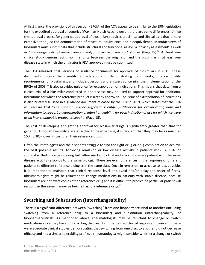At first glance, the provisions of this section (BPCIA) of the ACA appear to be similar to the 1984 legislation for the expedited approval of generics (Waxman-Hatch Act); however, there are some differences. Unlike the approval process for generics, approval of biosimilars requires preclinical and clinical data that is more extensive than just the demonstration of structural equivalence and bioequivalence. Manufacturers of biosimilars must submit data that include structural and functional assays, a "toxicity assessment" as well as "immunogenicity, pharmacokinetics and/or pharmacodynamics" studies (Page 35).<sup>20</sup> At least one clinical study demonstrating noninferiority between the originator and the biosimilar in at least one disease state in which the originator is FDA approved must be submitted.

The FDA released final versions of guidance documents for approval of biosimilars in 2015. These documents discuss the scientific considerations in demonstrating biosimilarity, provide quality requirements for biosimilars, and include questions and answers concerning the implementation of the BPCIA of 2009.<sup>21</sup> It also provides guidance for extrapolation of indications. This means that data from a clinical trial of a biosimilar conducted in one disease may be used to support approval for additional indications for which the reference product is already approved. The issue of extrapolation of indications is also briefly discussed in a guidance document released by the FDA in 2019, which states that the FDA will require that "*The sponsor provide sufficient scientific justification for extrapolating data and information to support a determination of interchangeability for each indication of use for which licensure*  as an interchangeable product is sought" (Page 15).<sup>22</sup>

The cost of developing and getting approval for biosimilar drugs is significantly greater than that for generics. Although biosimilars are expected to be expensive, it is thought that they may be as much as 15% to 30% lower in cost than their reference drugs.

Often rheumatologists and their patients struggle to find the right drug or drug combination to achieve the best possible results. Achieving remission or low disease activity in patients with RA, PsA, or spondyloarthritis is a painstaking task often marked by trial and error. Not every patient with the same disease activity responds to the same biologic. There are even differences in the response of different patients to different reference biologics in the same class. Once in remission, or as close to it as possible, it is important to maintain that clinical response level and avoid and/or delay the onset of flares. Rheumatologists might be reluctant to change medications in patients with stable disease, because biosimilars are not exact copies of the reference drug and it is difficult to predict if a particular patient will respond in the same manner as he/she has to a reference drug.<sup>13</sup>

### <span id="page-6-0"></span>**Switching and Substitution (Interchangeability)**

There is a significant difference between "switching" from one biopharmaceutical to another (including switching from a reference drug to a biosimilar) and substitution (interchangeability) of biopharmaceuticals. As mentioned above, rheumatologists may be reluctant to change or switch medications once they have found a drug that results in the desired clinical response. However, if there were adequate clinical studies demonstrating that switching from one drug to another did not decrease efficacy and had a similar tolerability profile, a rheumatologist might consider whether a change or switch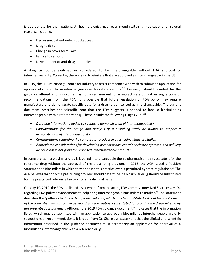is appropriate for their patient. A rheumatologist may recommend switching medications for several reasons, including:

- Decreasing patient out-of-pocket cost
- Drug toxicity
- Change in payer formulary
- Failure to respond
- Development of anti-drug antibodies

A drug cannot be switched or considered to be interchangeable without FDA approval of interchangeability. Currently, there are no biosimilars that are approved as interchangeable in the US.

In 2019, the FDA released guidance for industry to assist companies who wish to submit an application for approval of a biosimilar as interchangeable with a reference drug.<sup>22</sup> However, it should be noted that the guidance offered in this document is not a requirement for manufacturers but rather suggestions or recommendations from the FDA. It is possible that future legislation or FDA policy may require manufacturers to demonstrate specific data for a drug to be licensed as interchangeable. The current document describes the scientific data that the FDA suggests is needed to label a biosimilar as interchangeable with a reference drug. These include the following (Pages 2–3):<sup>22</sup>

- *Data and information needed to support a demonstration of interchangeability*
- *Considerations for the design and analysis of a switching study or studies to support a demonstration of interchangeability*
- *Considerations regarding the comparator product in a switching study or studies*
- *Abbreviated considerations for developing presentations, container closure systems, and delivery device constituent parts for proposed interchangeable products*

In some states, if a biosimilar drug is labelled interchangeable then a pharmacist may substitute it for the reference drug without the approval of the prescribing provider. In 2018, the ACR issued a Position Statement on Biosimilars in which they opposed this practice even if permitted by state regulations.<sup>23</sup> The ACR believes that only the prescribing provider should determine if a biosimilar drug should be substituted for the prescribed reference biologic for an individual patient.

On May 10, 2019, the FDA published a statement from the acting FDA Commissioner Ned Sharpless, M.D., regarding FDA policy advancements to help bring interchangeable biosimilars to market.<sup>24</sup> The statement describes the "pathway for "*interchangeable biologics, which may be substituted without the involvement of the prescriber, similar to how generic drugs are routinely substituted for brand name drugs when they*  are prescribed for patients". Although the 2019 FDA guidance document<sup>22</sup> indicates that the information listed, which may be submitted with an application to approve a biosimilar as interchangeable are only suggestions or recommendations, it is clear from Dr. Sharpless' statement that the clinical and scientific information described in the guidance document must accompany an application for approval of a biosimilar as interchangeable with a reference drug.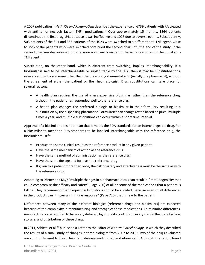A 2007 publication in *Arthritis and Rheumatism* describes the experience of 6739 patients with RA treated with anti-tumor necrosis factor (TNFi) medications.<sup>25</sup> Over approximately 15 months, 1864 patients discontinued the first drug; 841 because it was ineffective and 1023 due to adverse events. Subsequently, 503 patients of the 841 and 353 patients of the 1023 were switched to a different anti-TNF agent. Close to 75% of the patients who were switched continued the second drug until the end of the study. If the second drug was discontinued, this decision was usually made for the same reason as for the initial anti-TNF agent.

Substitution, on the other hand, which is different from switching, implies interchangeability. If a biosimilar is said to be interchangeable or substitutable by the FDA, then it may be substituted for a reference drug by someone other than the prescribing rheumatologist (usually the pharmacist), without the agreement of either the patient or the rheumatologist. Drug substitutions can take place for several reasons:

- A health plan requires the use of a less expensive biosimilar rather than the reference drug, although the patient has responded well to the reference drug.
- A health plan changes the preferred biologic or biosimilar in their formulary resulting in a substitution by the dispensing pharmacist. Formularies can change (often based on price) multiple times a year, and multiple substitutions can occur within a short time interval.

Approval of a biosimilar does not mean that it meets the FDA standards for an interchangeable drug. For a biosimilar to meet the FDA standards to be labelled interchangeable with the reference drug, the biosimilar must:<sup>26</sup>

- Produce the same clinical result as the reference product in any given patient
- Have the same mechanism of action as the reference drug
- Have the same method of administration as the reference drug
- Have the same dosage and form as the reference drug
- If given to a patient more than once, the risk of safety and effectiveness must be the same as with the reference drug

According to Dörner and Kay,<sup>27</sup> multiple changes in biopharmaceuticals can result in "immunogenicity that could compromise the efficacy and safety" (Page 720) of all or some of the medications that a patient is taking. They recommend that frequent substitutions should be avoided, because even small differences in the products can "trigger an immune response" (Page 720) that is new to the patient.

Differences between many of the different biologics (reference drugs and biosimilars) are expected because of the complexity in manufacturing and storage of these medications. To minimize differences, manufacturers are required to have very detailed, tight quality controls on every step in the manufacture, storage, and distribution of these drugs.

In 2011, Schiestl et al.<sup>28</sup> published a Letter to the Editor of *Nature Biotechnology*, in which they described the results of a small study of changes in three biologics from 2007 to 2010. Two of the drugs evaluated are commonly used to treat rheumatic diseases—rituximab and etanercept. Although the report found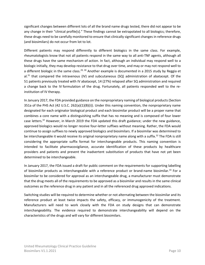significant changes between different lots of all the brand name drugs tested, there did not appear to be any change in their "clinical profile[s]." These findings cannot be extrapolated to all biologics; therefore, these drugs need to be carefully monitored to ensure that clinically significant changes in reference drugs (and biosimilars) do not occur from lot to lot.

Different patients may respond differently to different biologics in the same class. For example, rheumatologists know that not all patients respond in the same way to all anti-TNF agents, although all these drugs have the same mechanism of action. In fact, although an individual may respond well to a biologic initially, they may develop resistance to that drug over time, and may or may not respond well to a different biologic in the same class.<sup>29, 30</sup> Another example is documented in a 2015 study by Reggia et al.<sup>31</sup> that compared the intravenous (IV) and subcutaneous (SQ) administration of abatacept. Of the 51 patients previously treated with IV abatacept, 14 (27%) relapsed after SQ administration and required a change back to the IV formulation of the drug. Fortunately, all patients responded well to the reinstitution of IV therapy.

In January 2017, the FDA provided guidance on the nonproprietary naming of biological products (Section 351a of the PHS Act (42 U.S.C. 262(a)(1)(B)(i)). Under this naming convention, the nonproprietary name designated for each originator biological product and each biosimilar product will be a proper name that combines a core name with a distinguishing suffix that has no meaning and is composed of four lower case letters.<sup>32</sup> However, in March 2019 the FDA updated this draft guidance; under the new guidance, approved biologics would no longer receive four-letter suffixes without meaning. Rather, the FDA would continue to assign suffixes to newly approved biologics and biosimilars. If a biosimilar was determined to be interchangeable it would receive its original nonproprietary name along with a suffix.<sup>32</sup> The FDA is still considering the appropriate suffix format for interchangeable products. This naming convention is intended to facilitate pharmacovigilance, accurate identification of these products by healthcare providers and patients and prevent the inadvertent substitution of products that have not yet been determined to be interchangeable.

In January 2017, the FDA issued a draft for public comment on the requirements for supporting labelling of biosimilar products as interchangeable with a reference product or brand-name biosimilar.<sup>33</sup> For a biosimilar to be considered for approval as an interchangeable drug, a manufacturer must demonstrate that the drug meets all of the requirements to be approved as a biosimilar and results in the same clinical outcomes as the reference drug in any patient and in all the referenced drug approved indications.

Switching studies will be required to determine whether or not alternating between the biosimilar and its reference product at least twice impacts the safety, efficacy, or immunogenicity of the treatment. Manufacturers will need to work closely with the FDA on study designs that can demonstrate interchangeability. The evidence required to demonstrate interchangeability will depend on the characteristics of the drugs and will vary for different biosimilars.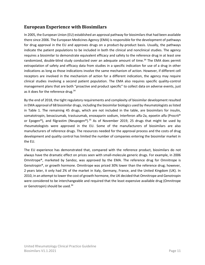#### <span id="page-10-0"></span>**European Experience with Biosimilars**

In 2005, the European Union (EU) established an approval pathway for biosimilars that had been available there since 2006. The European Medicines Agency (EMA) is responsible for the development of pathways for drug approval in the EU and approves drugs on a product-by-product basis. Usually, the pathways indicate the patient populations to be included in both the clinical and nonclinical studies. The agency requires a biosimilar to demonstrate equivalent efficacy and safety to the reference drug in at least one randomized, double-blind study conducted over an adequate amount of time.<sup>34</sup> The EMA does permit extrapolation of safety and efficacy data from studies in a specific indication for use of a drug in other indications as long as those indications involve the same mechanism of action. However, if different cell receptors are involved in the mechanism of action for a different indication, the agency may require clinical studies involving a second patient population. The EMA also requires specific quality-control management plans that are both "proactive and product specific" to collect data on adverse events, just as it does for the reference drug.<sup>34</sup>

By the end of 2018, the tight regulatory requirements and complexity of biosimilar development resulted in EMA approval of 68 biosimilar drugs, including the biosimilar biologics used by rheumatologists as listed in [Table 1.](#page-11-0) The remaining 45 drugs, which are not included in the table, are biosimilars for insulin, somatotropin, bevacizumab, trastuzumab, enoxaparin sodium, Interferon alfa-2a, epoetin alfa (Procrit® or Epogen®), and filgrastim (Neupogen®).<sup>35</sup> As of November 2019, 25 drugs that might be used by rheumatologists were approved in the EU. Some of the manufacturers of biosimilars are also manufacturers of reference drugs. The resources needed for the approval process and the costs of drug development and quality control has limited the number of companies entering the biosimilar market in the EU.

The EU experience has demonstrated that, compared with the reference product, biosimilars do not always have the dramatic effect on prices seen with small-molecule generic drugs. For example, in 2006 Omnitrope®, marketed by Sandoz, was approved by the EMA. The reference drug for Omnitrope is Genotropin®, or growth hormone. Omnitrope was priced 30% lower than the reference drug; however, 2 years later, it only had 2% of the market in Italy, Germany, France, and the United Kingdom (UK). In 2010, in an attempt to lower the cost of growth hormone, the UK decided that Omnitrope and Genotropin were considered to be interchangeable and required that the least expensive available drug (Omnitrope or Genotropin) should be used.<sup>34</sup>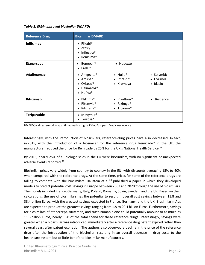#### <span id="page-11-0"></span>*Table 1. EMA-approved biosimilar DMARDs*

| <b>Reference Drug</b> | <b>Biosimilar DMARD</b>                                                                                                      |                                                                             |                                     |
|-----------------------|------------------------------------------------------------------------------------------------------------------------------|-----------------------------------------------------------------------------|-------------------------------------|
| <b>Infliximab</b>     | $\bullet$ Flixabi®<br>• Zessly<br>Inflectra <sup>®</sup><br>$\bullet$<br>Remsima <sup>®</sup><br>$\bullet$                   |                                                                             |                                     |
| <b>Etanercept</b>     | Benepali <sup>®</sup><br>٠<br>$\bullet$ Erelzi <sup>®</sup>                                                                  | • Nepexto                                                                   |                                     |
| <b>Adalimumab</b>     | • Amgevita®<br>Amspar<br>$\bullet$<br>• Cyltezo <sup>®</sup><br>Halimatoz <sup>®</sup><br>$\bullet$<br>• Hefiya <sup>®</sup> | $\bullet$ Hulio <sup>®</sup><br>$\bullet$ Imraldi <sup>®</sup><br>• Kromeya | • Solymbic<br>• Hyrimoz<br>· Idacio |
| Rituximab             | Blitzima <sup>®</sup><br>$\bullet$<br>Ritemvia <sup>®</sup><br>$\bullet$<br>Rituzena <sup>®</sup><br>$\bullet$               | • Rixathon <sup>®</sup><br>• Riximyo <sup>®</sup><br>• Truxima®             | Ruxience                            |
| <b>Teriparatide</b>   | Movymia <sup>®</sup><br>$\bullet$<br>Terrosa <sup>®</sup><br>$\bullet$                                                       |                                                                             |                                     |

DMARD(s), disease-modifying antirheumatic drug(s); EMA, European Medicines Agency

Interestingly, with the introduction of biosimilars, reference-drug prices have also decreased. In fact, in 2015, with the introduction of a biosimilar for the reference drug Remicade® in the UK, the manufacturer reduced the price for Remicade by 25% for the UK's National Health Service.<sup>36</sup>

By 2013, nearly 25% of all biologic sales in the EU were biosimilars, with no significant or unexpected adverse events reported.<sup>37</sup>

Biosimilar prices vary widely from country to country in the EU, with discounts averaging 15% to 40% when compared with the reference drugs. At the same time, prices for some of the reference drugs are falling to compete with the biosimilars. Haustein et al. $^{38}$  published a paper in which they developed models to predict potential cost savings in Europe between 2007 and 2020 through the use of biosimilars. The models included France, Germany, Italy, Poland, Romania, Spain, Sweden, and the UK. Based on their calculations, the use of biosimilars has the potential to result in overall cost savings between 11.8 and 33.4 billion Euros, with the greatest savings expected in France, Germany, and the UK. Biosimilar mAbs are expected to produce the greatest savings ranging from 1.8 to 20.4 billion Euros. Furthermore, savings for biosimilars of etanercept, rituximab, and trastuzumab alone could potentially amount to as much as 11.3 billion Euros, nearly 15% of the total spend for these reference drugs. Interestingly, savings were greater when a biosimilar was introduced immediately after a reference drug patent expired rather than several years after patent expiration. The authors also observed a decline in the price of the reference drug after the introduction of the biosimilar, resulting in an overall decrease in drug costs to the healthcare system but of little benefit to biosimilar manufacturers.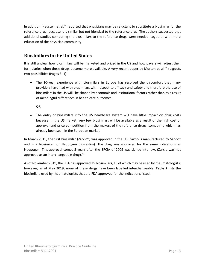In addition, Haustein et al. $38$  reported that physicians may be reluctant to substitute a biosimilar for the reference drug, because it is similar but not identical to the reference drug. The authors suggested that additional studies comparing the biosimilars to the reference drugs were needed, together with more education of the physician community.

### <span id="page-12-0"></span>**Biosimilars in the United States**

It is still unclear how biosimilars will be marketed and priced in the US and how payers will adjust their formularies when these drugs become more available. A very recent paper by Morton et al.<sup>39</sup> suggests two possibilities (Pages 3–4):

• The 10-year experience with biosimilars in Europe has resolved the discomfort that many providers have had with biosimilars with respect to efficacy and safety and therefore the use of biosimilars in the US will "be shaped by economic and institutional factors rather than as a result of meaningful differences in health care outcomes.

OR

• The entry of biosimilars into the US healthcare system will have little impact on drug costs because, in the US market, very few biosimilars will be available as a result of the high cost of approval and price competition from the makers of the reference drugs, something which has already been seen in the European market.

In March 2015, the first biosimilar (Zarxio®) was approved in the US. Zarxio is manufactured by Sandoz and is a biosimilar for Neupogen (filgrastim). The drug was approved for the same indications as Neupogen. This approval comes 5 years after the BPCIA of 2009 was signed into law. (Zarxio was not approved as an interchangeable drug).<sup>40</sup>

As of November 2019, the FDA has approved 25 biosimilars, 13 of which may be used by rheumatologists; however, as of May 2019, none of these drugs have been labelled interchangeable. **[Table 2](#page-13-0)** lists the biosimilars used by rheumatologists that are FDA approved for the indications listed.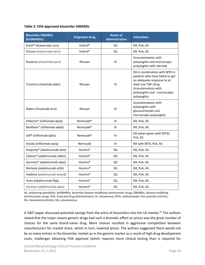#### <span id="page-13-0"></span>*Table 2. FDA-approved biosimilar DMARDs*

| <b>Biosimilar DMARDs</b><br>(bsDMARDs)   | <b>Originator Drug</b> | <b>Route of</b><br><b>Administration</b> | <b>Indications</b>                                                                                                                                                                             |  |
|------------------------------------------|------------------------|------------------------------------------|------------------------------------------------------------------------------------------------------------------------------------------------------------------------------------------------|--|
| Erelzi® (etanercept-szzs)                | Enbrel <sup>®</sup>    | SQ                                       | RA, PsA, AS                                                                                                                                                                                    |  |
| Eticovo (etanercept-ykro)                | Enbrel <sup>®</sup>    | SQ                                       | RA, PsA, AS                                                                                                                                                                                    |  |
| Ruxience (rituximab-pvvr)                | Rituxan                | IV                                       | Granulomatosis with<br>polyangiitis and microscopic<br>polyangiitis with steroids                                                                                                              |  |
| Truxima (rituximab-abbs)                 | Rituxan                | IV                                       | RA in combination with MTX in<br>patients who have failed to get<br>an adequate response to at<br>least one TNFi drug<br>Granulomatosis with<br>polyangiitis and - microscopic<br>polyangiitis |  |
| Riabni (rituximab-arrx)                  | Rituxan                | IV                                       | Granulomatosis with<br>polyangiitis with<br>glucocorticoids and<br>microscopic polyangiitis                                                                                                    |  |
| Inflectra® (infliximab-dyyb)             | Remicade <sup>®</sup>  | IV                                       | RA, PsA, AS                                                                                                                                                                                    |  |
| Renflexis <sup>®</sup> (infliximab-abda) | Remicade <sup>®</sup>  | IV                                       | RA, PsA, AS                                                                                                                                                                                    |  |
| Ixifi <sup>®</sup> (infliximab-qbtx)     | Remicade <sup>®</sup>  | IV                                       | RA (when given with MTX),<br>PsA, AS                                                                                                                                                           |  |
| Avsola (infliximab-axxq)                 | Remicade               | IV                                       | RA with MTX, PsA, AS                                                                                                                                                                           |  |
| Amjevita® (adalimumab-atto)              | Humira <sup>®</sup>    | SQ                                       | RA, PsA, AS                                                                                                                                                                                    |  |
| Cyltezo <sup>®</sup> (adalimumab-adbm)   | Humira <sup>®</sup>    | SQ                                       | RA, PsA, AS                                                                                                                                                                                    |  |
| Hyrimoz <sup>®</sup> (adalimumab-adaz)   | Humira <sup>®</sup>    | SQ                                       | RA, PsA, AS                                                                                                                                                                                    |  |
| Abrilada (adalimumab-afzb)               | Humira <sup>®</sup>    | SQ                                       | RA, PsA, AS                                                                                                                                                                                    |  |
| Hadlima (adalimumab-bwwd)                | Humira <sup>®</sup>    | SQ                                       | RA, PsA, AS                                                                                                                                                                                    |  |
| Hulio (adalimumab-fkjp)                  | Humira <sup>®</sup>    | SQ                                       | RA, PsA, AS                                                                                                                                                                                    |  |
| Hyrimoz (adalimumab-adaz)                | Humira <sup>®</sup>    | SQ                                       | RA, PsA, AS                                                                                                                                                                                    |  |

AS, ankylosing spondylitis; bsDMARDs, biosimilar disease-modifying antirheumatic drugs; DMARDs, disease-modifying antirheumatic drugs; FDA, Food and Drug Administration; IV, intravenous; MTX, methotrexate; PsA, psoriatic arthritis; RA, rheumatoid arthritis; SQ, subcutaneous

A 2007 paper discussed potential savings from the entry of biosimilars into the US market.<sup>41</sup> The authors stated that the major reason generic drugs had such a dramatic effect on prices was the great number of choices for the same brand-name drug. More choices resulted in aggressive competition between manufacturers for market share, which in turn, lowered prices. The authors suggested there would not be as many entries in the biosimilar market as in the generic market as a result of high drug development costs, challenges obtaining FDA approval (which requires more clinical testing than is required for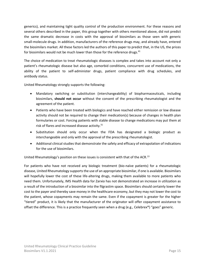generics), and maintaining tight quality control of the production environment. For these reasons and several others described in the paper, this group together with others mentioned above, did not predict the same dramatic decrease in costs with the approval of biosimilars as those seen with generic small-molecule drugs. In addition, manufacturers of the reference drugs may, and already have, entered the biosimilars market. All these factors led the authors of this paper to predict that, in the US, the prices for biosimilars would not be much lower than those for the reference drugs.<sup>41</sup>

The choice of medication to treat rheumatologic diseases is complex and takes into account not only a patient's rheumatologic disease but also age, comorbid conditions, concurrent use of medications, the ability of the patient to self-administer drugs, patient compliance with drug schedules, and antibody status.

United Rheumatology strongly supports the following:

- Mandatory switching or substitution (interchangeability) of biopharmaceuticals, including biosimilars, **should not occur** without the consent of the prescribing rheumatologist and the agreement of the patient.
- Patients who have been treated with biologics and have reached either remission or low disease activity should not be required to change their medication(s) because of changes in health plan formularies or cost. Forcing patients with stable disease to change medications may put them at risk of flares and increased disease activity. $31$
- Substitution should only occur when the FDA has designated a biologic product as interchangeable and only with the approval of the prescribing rheumatologist.
- Additional clinical studies that demonstrate the safety and efficacy of extrapolation of indications for the use of biosimilars.

United Rheumatology's position on these issues is consistent with that of the ACR.<sup>13</sup>

For patients who have not received any biologic treatment (bio-naïve patients) for a rheumatologic disease, United Rheumatology supports the use of an appropriate biosimilar, if one is available. Biosimilars will hopefully lower the cost of these life-altering drugs, making them available to more patients who need them. Unfortunately, IMS Health data for Zarxio has not demonstrated an increase in utilization as a result of the introduction of a biosimilar into the filgrastim space. Biosimilars should certainly lower the cost to the payer and thereby save money in the healthcare economy, but they may not lower the cost to the patient, whose copayments may remain the same. Even if the copayment is greater for the higher "tiered" product, it is likely that the manufacturer of the originator will offer copayment assistance to offset the difference. This is a practice frequently seen when a drug (e.g., Celebrex®) "goes" generic.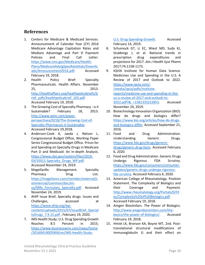#### <span id="page-15-0"></span>**References**

- 1. Centers for Medicare & Medicaid Services. Announcement of Calendar Year (CY) 2016 Medicare Advantage Capitation Rates and Mediare Advantage and Part D Payment Policies and Final Call Letter. [https://www.cms.gov/Medicare/Health-](https://www.cms.gov/Medicare/Health-Plans/MedicareAdvtgSpecRateStats/Downloads/Announcement2016.pdf)[Plans/MedicareAdvtgSpecRateStats/Downlo](https://www.cms.gov/Medicare/Health-Plans/MedicareAdvtgSpecRateStats/Downloads/Announcement2016.pdf) [ads/Announcement2016.pdf.](https://www.cms.gov/Medicare/Health-Plans/MedicareAdvtgSpecRateStats/Downloads/Announcement2016.pdf) Accessed February 19, 2018.
- 2. Health Policy Brief: Specialty Pharmaceuticals. Health Affairs. November 25, 2013. [http://healthaffairs.org/healthpolicybriefs/b](http://healthaffairs.org/healthpolicybriefs/brief_pdfs/healthpolicybrief_103.pdf) [rief\\_pdfs/healthpolicybrief\\_103.pdf.](http://healthaffairs.org/healthpolicybriefs/brief_pdfs/healthpolicybrief_103.pdf) Accessed February 19, 2018.
- 3. The Growing Cost of Specialty Pharmacy is it Sustainable? February 18, 2013. [http://www.ajmc.com/payer](http://www.ajmc.com/payer-perspectives/0218/The-Growing-Cost-of-Specialty-Pharmacyis-it-Sustainable)[perspectives/0218/The-Growing-Cost-of-](http://www.ajmc.com/payer-perspectives/0218/The-Growing-Cost-of-Specialty-Pharmacyis-it-Sustainable)[Specialty-Pharmacyis-it-Sustainable.](http://www.ajmc.com/payer-perspectives/0218/The-Growing-Cost-of-Specialty-Pharmacyis-it-Sustainable) Accessed February 19,2018.
- 4. Anderson-Cook A, Jaeda J, Nelson L, Congressional Budget Office, Working Paper Series Congressional Budget Office. Prices for and Spending on Specialty Drugs in Medicare Part D and Medicaid: An In-depth Analysis. [https://www.cbo.gov/system/files/2019-](https://www.cbo.gov/system/files/2019-03/55011-Specialty_Drugs_WP.pdf) [03/55011-Specialty\\_Drugs\\_WP.pdf.](https://www.cbo.gov/system/files/2019-03/55011-Specialty_Drugs_WP.pdf) Accessed November 24, 2019.
- 5. MagellanRx Management. Specialty Pharmacy Drug List. [https://magellanrx.com/member/external/c](https://magellanrx.com/member/external/commercial/common/doc/en-us/MRx_Formulary_Specialty.pdf) [ommercial/common/doc/en](https://magellanrx.com/member/external/commercial/common/doc/en-us/MRx_Formulary_Specialty.pdf)us/MRx Formulary Specialty.pdf. Accessed November 24, 2019.
- 6. AHIP Issue Brief, Specialty drugs: Issues and Challenges, accessed at [https://www.ahip.org/wp](https://www.ahip.org/wp-content/uploads/2015/07/IssueBrief_SpecialtyDrugs_7.9.15.pdf)[content/uploads/2015/07/IssueBrief\\_Special](https://www.ahip.org/wp-content/uploads/2015/07/IssueBrief_SpecialtyDrugs_7.9.15.pdf) [tyDrugs\\_7.9.15.pdf](https://www.ahip.org/wp-content/uploads/2015/07/IssueBrief_SpecialtyDrugs_7.9.15.pdf) , February 19, 2020.
- 7. IMS Health Study: U.S. Drug Spending Growth Reaches 8.5 Percent in 2015; [https://www.businesswire.com/news/home](https://www.businesswire.com/news/home/20160414005904/en/IMS-Health-Study-U.S.-Drug-Spending-Growth) [/20160414005904/en/IMS-Health-Study-](https://www.businesswire.com/news/home/20160414005904/en/IMS-Health-Study-U.S.-Drug-Spending-Growth)

[U.S.-Drug-Spending-Growth.](https://www.businesswire.com/news/home/20160414005904/en/IMS-Health-Study-U.S.-Drug-Spending-Growth) Accessed February 14, 2019.

- 8. Schumock GT, Li EC, Wiest MD, Suda KJ, Stubbings J, et al. National trends in prescription drug expenditures and projections for 2017. *Am J Health Syst Pharm*  2017;74:1158-1173.
- 9. IQVIA Institute for Human Data Science. Medicines Use and Spending in the U.S. A Review of 2017 and Outlook to 2022. [https://www.iqvia.com/-](https://www.iqvia.com/-/media/iqvia/pdfs/institute-reports/medicine-use-and-spending-in-the-us-a-review-of-2017-and-outlook-to-2022.pdf?&_=1581333222853) [/media/iqvia/pdfs/institute](https://www.iqvia.com/-/media/iqvia/pdfs/institute-reports/medicine-use-and-spending-in-the-us-a-review-of-2017-and-outlook-to-2022.pdf?&_=1581333222853)[reports/medicine-use-and-spending-in-the](https://www.iqvia.com/-/media/iqvia/pdfs/institute-reports/medicine-use-and-spending-in-the-us-a-review-of-2017-and-outlook-to-2022.pdf?&_=1581333222853)[us-a-review-of-2017-and-outlook-to-](https://www.iqvia.com/-/media/iqvia/pdfs/institute-reports/medicine-use-and-spending-in-the-us-a-review-of-2017-and-outlook-to-2022.pdf?&_=1581333222853)[2022.pdf?&\\_=1581333222853.](https://www.iqvia.com/-/media/iqvia/pdfs/institute-reports/medicine-use-and-spending-in-the-us-a-review-of-2017-and-outlook-to-2022.pdf?&_=1581333222853) Accessed November 24, 2019.
- 10. Biotechnology Innovation Organization (BIO). How do drugs and biologics differ? [https://www.bio.org/articles/how-do-drugs](https://www.bio.org/articles/how-do-drugs-and-biologics-differ)[and-biologics-differ.](https://www.bio.org/articles/how-do-drugs-and-biologics-differ) Accessed September 21, 2016.
- 11. Food and Drug Administration. Understanding Generic Drugs. [https://www.fda.gov/drugs/generic](https://www.fda.gov/drugs/generic-drugs/generic-drug-facts)[drugs/generic-drug-facts.](https://www.fda.gov/drugs/generic-drugs/generic-drug-facts) Accessed February 6, 2020.
- 12. Food and Drug Administration. Generic Drugs Undergo Rigorous FDA Scrutiny. [https://www.fda.gov/consumers/consumer](https://www.fda.gov/consumers/consumer-updates/generic-drugs-undergo-rigorous-fda-scrutiny)[updates/generic-drugs-undergo-rigorous](https://www.fda.gov/consumers/consumer-updates/generic-drugs-undergo-rigorous-fda-scrutiny)[fda-scrutiny.](https://www.fda.gov/consumers/consumer-updates/generic-drugs-undergo-rigorous-fda-scrutiny) Accessed February 6, 2020.
- 13. American College of Rheumatology. Position Statement. The Complexity of Biologics and their Coverage and Payment. [http://www.rheumatology.org/Portals/0/Fil](http://www.rheumatology.org/Portals/0/Files/Complexity%20of%20Biologics.pdf) [es/Complexity%20of%20Biologics.pdf.](http://www.rheumatology.org/Portals/0/Files/Complexity%20of%20Biologics.pdf) Accessed February 19, 2018.
- 14. Amgen Biosimilars. The Power of Biologics. [http://www.amgenbiosimilars.com/the](http://www.amgenbiosimilars.com/the-basics/the-power-of-biologics/)[basics/the-power-of-biologics/.](http://www.amgenbiosimilars.com/the-basics/the-power-of-biologics/) Accessed February 19, 2018.
- 15. Hmiel LK, Brorson KA, Boyne MT, 2nd. Posttranslational structural modifications of immunoglobulin G and their effect on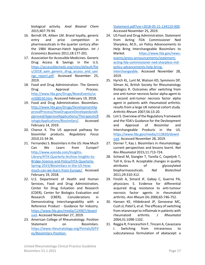biological activity. *Anal Bioanal Chem*  2015;407:79-94.

- 16. Berndt ER, Aitken LM. Brand loyalty, generic entry and price competition in pharmaceuticals in the quarter century after the 1984 Waxman-Hatch legislation. *Int J Economics Business* 2011;18:177-201.
- 17. Association for Accessible Medicines. Generic Drug Access & Savings in the U.S. [https://accessiblemeds.org/sites/default/file](https://accessiblemeds.org/sites/default/files/2018_aam_generic_drug_access_and_savings_report.pdf) s/2018 aam generic drug access and savi ngs report.pdf. Accessed November 25, 2019.
- 18. Food and Drug Administration. The Generic Drug Approval Process. [http://www.fda.gov/Drugs/NewsEvents/uc](http://www.fda.gov/Drugs/NewsEvents/ucm508150.htm) [m508150.htm.](http://www.fda.gov/Drugs/NewsEvents/ucm508150.htm) Accessed February 19, 2018.
- 19. Food and Drug Administration. Biosimilars. [http://www.fda.gov/Drugs/DevelopmentAp](http://www.fda.gov/Drugs/DevelopmentApprovalProcess/HowDrugsareDevelopedandApproved/ApprovalApplications/TherapeuticBiologicApplications/Biosimilars/) [provalProcess/HowDrugsareDevelopedandA](http://www.fda.gov/Drugs/DevelopmentApprovalProcess/HowDrugsareDevelopedandApproved/ApprovalApplications/TherapeuticBiologicApplications/Biosimilars/) [pproved/ApprovalApplications/TherapeuticB](http://www.fda.gov/Drugs/DevelopmentApprovalProcess/HowDrugsareDevelopedandApproved/ApprovalApplications/TherapeuticBiologicApplications/Biosimilars/) [iologicApplications/Biosimilars/.](http://www.fda.gov/Drugs/DevelopmentApprovalProcess/HowDrugsareDevelopedandApproved/ApprovalApplications/TherapeuticBiologicApplications/Biosimilars/) Accessed February 14, 2019.
- 20. Chance K. The US approval pathway for biosimilar products. *Regulatory Focus*  2010;15:34-36.
- 21. Fernandez S. Biosimilars in the US: How Much Can We Learn from Europe? [http://www.xcenda.com/Insights-](http://www.xcenda.com/Insights-Library/HTA-Quarterly-Archive-Insights-to-Bridge-Science-and-Policy/HTA-Quarterly-Spring-2015/Biosimilars-in-the-US-How-much-can-we-learn-from-Europe/)[Library/HTA-Quarterly-Archive-Insights-to-](http://www.xcenda.com/Insights-Library/HTA-Quarterly-Archive-Insights-to-Bridge-Science-and-Policy/HTA-Quarterly-Spring-2015/Biosimilars-in-the-US-How-much-can-we-learn-from-Europe/)[Bridge-Science-and-Policy/HTA-Quarterly-](http://www.xcenda.com/Insights-Library/HTA-Quarterly-Archive-Insights-to-Bridge-Science-and-Policy/HTA-Quarterly-Spring-2015/Biosimilars-in-the-US-How-much-can-we-learn-from-Europe/)[Spring-2015/Biosimilars-in-the-US-How](http://www.xcenda.com/Insights-Library/HTA-Quarterly-Archive-Insights-to-Bridge-Science-and-Policy/HTA-Quarterly-Spring-2015/Biosimilars-in-the-US-How-much-can-we-learn-from-Europe/)[much-can-we-learn-from-Europe/.](http://www.xcenda.com/Insights-Library/HTA-Quarterly-Archive-Insights-to-Bridge-Science-and-Policy/HTA-Quarterly-Spring-2015/Biosimilars-in-the-US-How-much-can-we-learn-from-Europe/) Accessed February 19, 2018.
- 22. U.S. Department of Health and Human Services, Food and Drug Administration, Center for Drug Evluation and Research (CDER), Center for Biologics Evaluation and Research (CBER). Considerations in Demonstrating Interchangeability with a Reference Product - Guidance for Industry. [https://www.fda.gov/media/124907/downl](https://www.fda.gov/media/124907/download) [oad.](https://www.fda.gov/media/124907/download) Accessed November 27, 2019.
- 23. American College of Rheumatology. Position Statement on Biosimilars. [https://www.rheumatology.org/Portals/0/Fil](https://www.rheumatology.org/Portals/0/Files/Biosimilars-Position-Statement.pdf?ver=2018-05-21-134110-000) [es/Biosimilars-Position-](https://www.rheumatology.org/Portals/0/Files/Biosimilars-Position-Statement.pdf?ver=2018-05-21-134110-000)

[Statement.pdf?ver=2018-05-21-134110-000.](https://www.rheumatology.org/Portals/0/Files/Biosimilars-Position-Statement.pdf?ver=2018-05-21-134110-000) Accessed November 25, 2019.

- 24. US Food and Drug Administration. Statement from Acting FDA Commissioner Ned Sharpless, M.D., on Policy Advancements to Help Bring Interchangeable Biosimilars to Market. [https://www.fda.gov/news](https://www.fda.gov/news-events/press-announcements/statement-acting-fda-commissioner-ned-sharpless-md-policy-advancements-help-bring-interchangeable)[events/press-announcements/statement](https://www.fda.gov/news-events/press-announcements/statement-acting-fda-commissioner-ned-sharpless-md-policy-advancements-help-bring-interchangeable)[acting-fda-commissioner-ned-sharpless-md](https://www.fda.gov/news-events/press-announcements/statement-acting-fda-commissioner-ned-sharpless-md-policy-advancements-help-bring-interchangeable)[policy-advancements-help-bring](https://www.fda.gov/news-events/press-announcements/statement-acting-fda-commissioner-ned-sharpless-md-policy-advancements-help-bring-interchangeable)[interchangeable.](https://www.fda.gov/news-events/press-announcements/statement-acting-fda-commissioner-ned-sharpless-md-policy-advancements-help-bring-interchangeable) Accessed November 28, 2019.
- 25. Hyrich KL, Lunt M, Watson KD, Symmons DP, Silman AJ, British Society for Rheumatology Biologics R. Outcomes after switching from one anti-tumor necrosis factor alpha agent to a second anti-tumor necrosis factor alpha agent in patients with rheumatoid arthritis: results from a large UK national cohort study. *Arthritis Rheum* 2007;56:13-20.
- 26. Lim S. Overview of the Regulatory Framework and the FDA's Guidance for the Devleopment and Approval of Biosimilar and Interchangeable Products in the US. [https://www.fda.gov/media/113820/downl](https://www.fda.gov/media/113820/download) [oad.](https://www.fda.gov/media/113820/download) Accessed November 28, 2019.
- 27. Dorner T, Kay J. Biosimilars in rheumatology: current perspectives and lessons learnt. *Nat Rev Rheumatol* 2015;11:713-724.
- 28. Schiestl M, Stangler T, Torella C, Cepeljnik T, Toll H, Grau R. Acceptable changes in quality attributes of glycosylated biopharmaceuticals. *Nat Biotechnol*  2011;29:310-312.
- 29. Finckh A, Simard JF, Gabay C, Guerne PA, physicians S. Evidence for differential acquired drug resistance to anti-tumour necrosis factor agents in rheumatoid arthritis. *Ann Rheum Dis* 2006;65:746-752.
- 30. Hansen KE, Hildebrand JP, Genovese MC, Cush JJ, Patel S, et al. The efficacy of switching from etanercept to infliximab in patients with rheumatoid arthritis. *J Rheumatol*  2004;31:1098-1102.
- 31. Reggia R, Franceschini F, Tincani A, Cavazzana I. Switching from intravenous to subcutaneous formulation of abatacept: a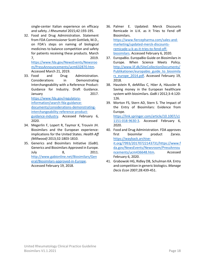single-center Italian experience on efficacy and safety. *J Rheumatol* 2015;42:193-195.

32. Food and Drug Administration. Statement from FDA Commissioner Scott Gottlieb, M.D., on FDA's steps on naming of biological medicines to balance competition and safety for patients receiving these products. March 7, 2019. [https://www.fda.gov/NewsEvents/Newsroo](https://www.fda.gov/NewsEvents/Newsroom/PressAnnouncements/ucm632870.htm)

[m/PressAnnouncements/ucm632870.htm.](https://www.fda.gov/NewsEvents/Newsroom/PressAnnouncements/ucm632870.htm) Accessed March 21, 2019.

- 33. Food and Drug Administration. Considerations in Demonstrating Interchangeability with a Reference Product: Guidance for Industry. Draft Guidance. January 2017. [https://www.fda.gov/regulatory](https://www.fda.gov/regulatory-information/search-fda-guidance-documents/considerations-demonstrating-interchangeability-reference-product-guidance-industry)[information/search-fda-guidance](https://www.fda.gov/regulatory-information/search-fda-guidance-documents/considerations-demonstrating-interchangeability-reference-product-guidance-industry)[documents/considerations-demonstrating](https://www.fda.gov/regulatory-information/search-fda-guidance-documents/considerations-demonstrating-interchangeability-reference-product-guidance-industry)[interchangeability-reference-product](https://www.fda.gov/regulatory-information/search-fda-guidance-documents/considerations-demonstrating-interchangeability-reference-product-guidance-industry)[guidance-industry.](https://www.fda.gov/regulatory-information/search-fda-guidance-documents/considerations-demonstrating-interchangeability-reference-product-guidance-industry) Accessed February 6, 2020.
- 34. Megerlin F, Lopert R, Taymor K, Trouvin JH. Biosimilars and the European experience: implications for the United States. *Health Aff (Millwood)* 2013;32:1803-1810.
- 35. Generics and Biosimilars Initiative (GaBI). Generics and Biosimilars Approved in Europe. July 8, 2011. [http://www.gabionline.net/Biosimilars/Gen](http://www.gabionline.net/Biosimilars/General/Biosimilars-approved-in-Europe) [eral/Biosimilars-approved-in-Europe.](http://www.gabionline.net/Biosimilars/General/Biosimilars-approved-in-Europe) Accessed February 19, 2018.
- 36. Palmer E. Updated: Merck Discounts Remicade in U.K. as it Tries to Fend off Biosimilars. [https://www.fiercepharma.com/sales-and](https://www.fiercepharma.com/sales-and-marketing/updated-merck-discounts-remicade-u-k-as-it-tries-to-fend-off-biosimilars)[marketing/updated-merck-discounts](https://www.fiercepharma.com/sales-and-marketing/updated-merck-discounts-remicade-u-k-as-it-tries-to-fend-off-biosimilars)[remicade-u-k-as-it-tries-to-fend-off](https://www.fiercepharma.com/sales-and-marketing/updated-merck-discounts-remicade-u-k-as-it-tries-to-fend-off-biosimilars)[biosimilars.](https://www.fiercepharma.com/sales-and-marketing/updated-merck-discounts-remicade-u-k-as-it-tries-to-fend-off-biosimilars) Accessed February 6, 2020.
- 37. EuropaBio. EuropaBio Guide on Biosimilars in Europe. When Science Meets Policy. [http://www.lif.dk/SiteCollectionDocuments/](http://www.lif.dk/SiteCollectionDocuments/Publikationer/europabio_guide_to_biosimilars_europe_2014.pdf) [Publikationer/europabio\\_guide\\_to\\_biosimila](http://www.lif.dk/SiteCollectionDocuments/Publikationer/europabio_guide_to_biosimilars_europe_2014.pdf) [rs\\_europe\\_2014.pdf.](http://www.lif.dk/SiteCollectionDocuments/Publikationer/europabio_guide_to_biosimilars_europe_2014.pdf) Accessed February 19, 2018.
- 38. Haustein R, deMillas C, Höer A, Häussler B. Saving money in the European healthcare system with biosimilars. *GaBI J* 2012;3-4:120- 126.
- 39. Morton FS, Stern AD, Stern S. The Impact of the Entry of Biosimilars: Evidence from Europe.

[https://link.springer.com/article/10.1007/s1](https://link.springer.com/article/10.1007/s11151-018-9630-3) [1151-018-9630-3.](https://link.springer.com/article/10.1007/s11151-018-9630-3) Accessed February 6, 2020.

- 40. Food and Drug Administration. FDA approves first biosimilar product Zarxio. [https://wayback.archive](https://wayback.archive-it.org/7993/20170722143731/https:/www.fda.gov/NewsEvents/Newsroom/PressAnnouncements/ucm436648.htm)[it.org/7993/20170722143731/https://www.f](https://wayback.archive-it.org/7993/20170722143731/https:/www.fda.gov/NewsEvents/Newsroom/PressAnnouncements/ucm436648.htm) [da.gov/NewsEvents/Newsroom/PressAnnou](https://wayback.archive-it.org/7993/20170722143731/https:/www.fda.gov/NewsEvents/Newsroom/PressAnnouncements/ucm436648.htm) [ncements/ucm436648.htm.](https://wayback.archive-it.org/7993/20170722143731/https:/www.fda.gov/NewsEvents/Newsroom/PressAnnouncements/ucm436648.htm) Accessed February 6, 2020.
- 41. Grabowski HG, Ridley DB, Schulman KA. Entry and competition in generic biologics. *Manage Decis Econ* 2007;28:439-451.